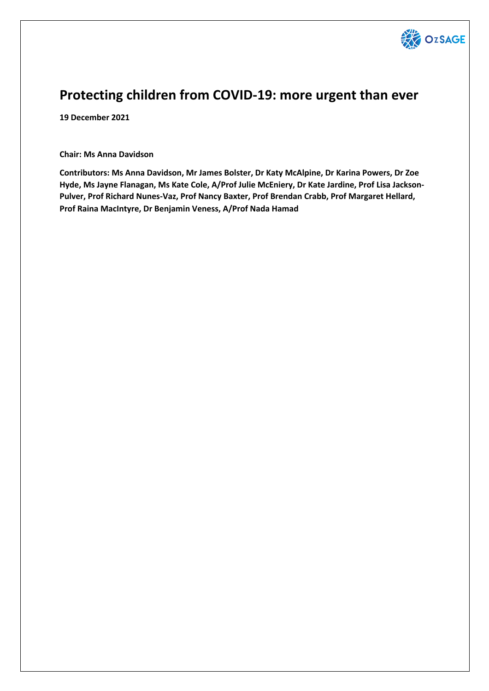

# **Protecting children from COVID-19: more urgent than ever**

**19 December 2021**

**Chair: Ms Anna Davidson**

**Contributors: Ms Anna Davidson, Mr James Bolster, Dr Katy McAlpine, Dr Karina Powers, Dr Zoe Hyde, Ms Jayne Flanagan, Ms Kate Cole, A/Prof Julie McEniery, Dr Kate Jardine, Prof Lisa Jackson-Pulver, Prof Richard Nunes-Vaz, Prof Nancy Baxter, Prof Brendan Crabb, Prof Margaret Hellard, Prof Raina MacIntyre, Dr Benjamin Veness, A/Prof Nada Hamad**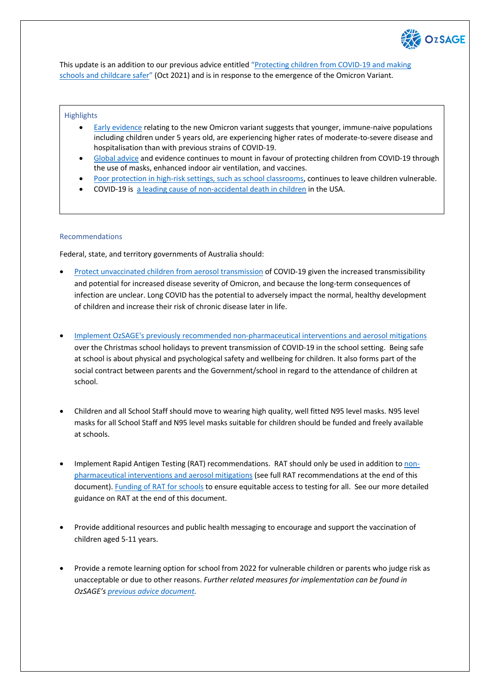

This update is an addition to our previous advice entitled "Protecting children from COVID-19 and making schools and childcare safer" (Oct 2021) and is in response to the emergence of the Omicron Variant.

#### **Highlights**

- Early evidence relating to the new Omicron variant suggests that younger, immune-naive populations including children under 5 years old, are experiencing higher rates of moderate-to-severe disease and hospitalisation than with previous strains of COVID-19.
- Global advice and evidence continues to mount in favour of protecting children from COVID-19 through the use of masks, enhanced indoor air ventilation, and vaccines.
- Poor protection in high-risk settings, such as school classrooms, continues to leave children vulnerable.
- COVID-19 is a leading cause of non-accidental death in children in the USA.

### Recommendations

Federal, state, and territory governments of Australia should:

- Protect unvaccinated children from aerosol transmission of COVID-19 given the increased transmissibility and potential for increased disease severity of Omicron, and because the long-term consequences of infection are unclear. Long COVID has the potential to adversely impact the normal, healthy development of children and increase their risk of chronic disease later in life.
- Implement OzSAGE's previously recommended non-pharmaceutical interventions and aerosol mitigations over the Christmas school holidays to prevent transmission of COVID-19 in the school setting. Being safe at school is about physical and psychological safety and wellbeing for children. It also forms part of the social contract between parents and the Government/school in regard to the attendance of children at school.
- Children and all School Staff should move to wearing high quality, well fitted N95 level masks. N95 level masks for all School Staff and N95 level masks suitable for children should be funded and freely available at schools.
- Implement Rapid Antigen Testing (RAT) recommendations. RAT should only be used in addition to nonpharmaceutical interventions and aerosol mitigations (see full RAT recommendations at the end of this document). Funding of RAT for schools to ensure equitable access to testing for all. See our more detailed guidance on RAT at the end of this document.
- Provide additional resources and public health messaging to encourage and support the vaccination of children aged 5-11 years.
- Provide a remote learning option for school from 2022 for vulnerable children or parents who judge risk as unacceptable or due to other reasons. *Further related measures for implementation can be found in OzSAGE's previous advice document.*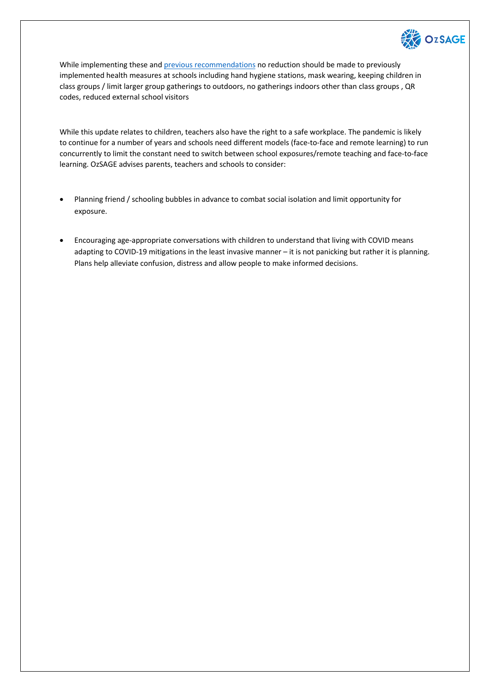

While implementing these and **previous recommendations** no reduction should be made to previously implemented health measures at schools including hand hygiene stations, mask wearing, keeping children in class groups / limit larger group gatherings to outdoors, no gatherings indoors other than class groups , QR codes, reduced external school visitors

While this update relates to children, teachers also have the right to a safe workplace. The pandemic is likely to continue for a number of years and schools need different models (face-to-face and remote learning) to run concurrently to limit the constant need to switch between school exposures/remote teaching and face-to-face learning. OzSAGE advises parents, teachers and schools to consider:

- Planning friend / schooling bubbles in advance to combat social isolation and limit opportunity for exposure.
- Encouraging age-appropriate conversations with children to understand that living with COVID means adapting to COVID-19 mitigations in the least invasive manner – it is not panicking but rather it is planning. Plans help alleviate confusion, distress and allow people to make informed decisions.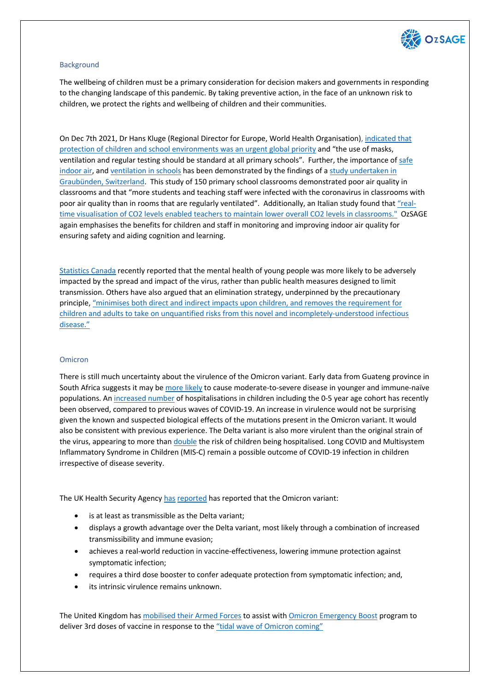

# **Background**

The wellbeing of children must be a primary consideration for decision makers and governments in responding to the changing landscape of this pandemic. By taking preventive action, in the face of an unknown risk to children, we protect the rights and wellbeing of children and their communities.

On Dec 7th 2021, Dr Hans Kluge (Regional Director for Europe, World Health Organisation), indicated that protection of children and school environments was an urgent global priority and "the use of masks, ventilation and regular testing should be standard at all primary schools". Further, the importance of safe indoor air, and ventilation in schools has been demonstrated by the findings of a study undertaken in Graubünden, Switzerland. This study of 150 primary school classrooms demonstrated poor air quality in classrooms and that "more students and teaching staff were infected with the coronavirus in classrooms with poor air quality than in rooms that are regularly ventilated". Additionally, an Italian study found that "realtime visualisation of CO2 levels enabled teachers to maintain lower overall CO2 levels in classrooms." OzSAGE again emphasises the benefits for children and staff in monitoring and improving indoor air quality for ensuring safety and aiding cognition and learning.

Statistics Canada recently reported that the mental health of young people was more likely to be adversely impacted by the spread and impact of the virus, rather than public health measures designed to limit transmission. Others have also argued that an elimination strategy, underpinned by the precautionary principle, "minimises both direct and indirect impacts upon children, and removes the requirement for children and adults to take on unquantified risks from this novel and incompletely-understood infectious disease."

### **Omicron**

There is still much uncertainty about the virulence of the Omicron variant. Early data from Guateng province in South Africa suggests it may be more likely to cause moderate-to-severe disease in younger and immune-naïve populations. An increased number of hospitalisations in children including the 0-5 year age cohort has recently been observed, compared to previous waves of COVID-19. An increase in virulence would not be surprising given the known and suspected biological effects of the mutations present in the Omicron variant. It would also be consistent with previous experience. The Delta variant is also more virulent than the original strain of the virus, appearing to more than double the risk of children being hospitalised. Long COVID and Multisystem Inflammatory Syndrome in Children (MIS-C) remain a possible outcome of COVID-19 infection in children irrespective of disease severity.

The UK Health Security Agency has reported has reported that the Omicron variant:

- is at least as transmissible as the Delta variant;
- displays a growth advantage over the Delta variant, most likely through a combination of increased transmissibility and immune evasion;
- achieves a real-world reduction in vaccine-effectiveness, lowering immune protection against symptomatic infection;
- requires a third dose booster to confer adequate protection from symptomatic infection; and,
- its intrinsic virulence remains unknown.

The United Kingdom has mobilised their Armed Forces to assist with Omicron Emergency Boost program to deliver 3rd doses of vaccine in response to the "tidal wave of Omicron coming"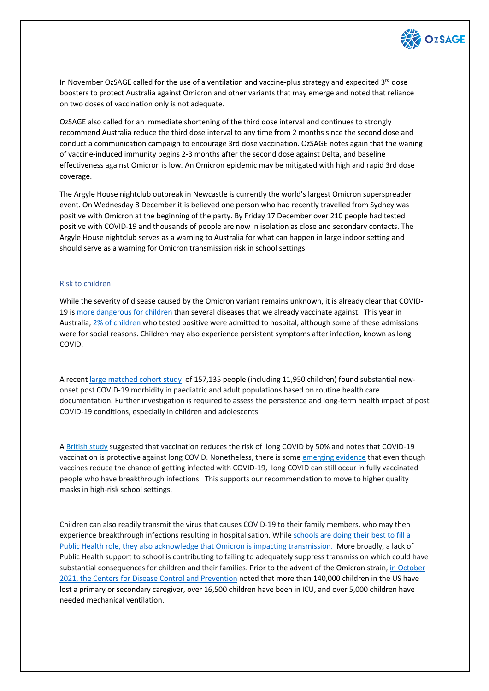

In November OzSAGE called for the use of a ventilation and vaccine-plus strategy and expedited  $3<sup>rd</sup>$  dose boosters to protect Australia against Omicron and other variants that may emerge and noted that reliance on two doses of vaccination only is not adequate.

OzSAGE also called for an immediate shortening of the third dose interval and continues to strongly recommend Australia reduce the third dose interval to any time from 2 months since the second dose and conduct a communication campaign to encourage 3rd dose vaccination. OzSAGE notes again that the waning of vaccine-induced immunity begins 2-3 months after the second dose against Delta, and baseline effectiveness against Omicron is low. An Omicron epidemic may be mitigated with high and rapid 3rd dose coverage.

The Argyle House nightclub outbreak in Newcastle is currently the world's largest Omicron superspreader event. On Wednesday 8 December it is believed one person who had recently travelled from Sydney was positive with Omicron at the beginning of the party. By Friday 17 December over 210 people had tested positive with COVID-19 and thousands of people are now in isolation as close and secondary contacts. The Argyle House nightclub serves as a warning to Australia for what can happen in large indoor setting and should serve as a warning for Omicron transmission risk in school settings.

# Risk to children

While the severity of disease caused by the Omicron variant remains unknown, it is already clear that COVID-19 is more dangerous for children than several diseases that we already vaccinate against. This year in Australia, 2% of children who tested positive were admitted to hospital, although some of these admissions were for social reasons. Children may also experience persistent symptoms after infection, known as long COVID.

A recent large matched cohort study of 157,135 people (including 11,950 children) found substantial newonset post COVID-19 morbidity in paediatric and adult populations based on routine health care documentation. Further investigation is required to assess the persistence and long-term health impact of post COVID-19 conditions, especially in children and adolescents.

A British study suggested that vaccination reduces the risk of long COVID by 50% and notes that COVID-19 vaccination is protective against long COVID. Nonetheless, there is some emerging evidence that even though vaccines reduce the chance of getting infected with COVID-19, long COVID can still occur in fully vaccinated people who have breakthrough infections. This supports our recommendation to move to higher quality masks in high-risk school settings.

Children can also readily transmit the virus that causes COVID-19 to their family members, who may then experience breakthrough infections resulting in hospitalisation. While schools are doing their best to fill a Public Health role, they also acknowledge that Omicron is impacting transmission. More broadly, a lack of Public Health support to school is contributing to failing to adequately suppress transmission which could have substantial consequences for children and their families. Prior to the advent of the Omicron strain, in October 2021, the Centers for Disease Control and Prevention noted that more than 140,000 children in the US have lost a primary or secondary caregiver, over 16,500 children have been in ICU, and over 5,000 children have needed mechanical ventilation.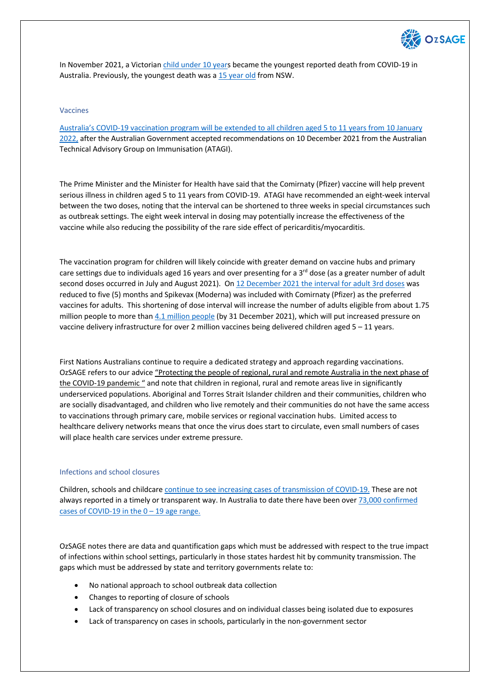

In November 2021, a Victorian child under 10 years became the youngest reported death from COVID-19 in Australia. Previously, the youngest death was a 15 year old from NSW.

### Vaccines

Australia's COVID-19 vaccination program will be extended to all children aged 5 to 11 years from 10 January 2022, after the Australian Government accepted recommendations on 10 December 2021 from the Australian Technical Advisory Group on Immunisation (ATAGI).

The Prime Minister and the Minister for Health have said that the Comirnaty (Pfizer) vaccine will help prevent serious illness in children aged 5 to 11 years from COVID-19. ATAGI have recommended an eight-week interval between the two doses, noting that the interval can be shortened to three weeks in special circumstances such as outbreak settings. The eight week interval in dosing may potentially increase the effectiveness of the vaccine while also reducing the possibility of the rare side effect of pericarditis/myocarditis.

The vaccination program for children will likely coincide with greater demand on vaccine hubs and primary care settings due to individuals aged 16 years and over presenting for a  $3^{rd}$  dose (as a greater number of adult second doses occurred in July and August 2021). On 12 December 2021 the interval for adult 3rd doses was reduced to five (5) months and Spikevax (Moderna) was included with Comirnaty (Pfizer) as the preferred vaccines for adults. This shortening of dose interval will increase the number of adults eligible from about 1.75 million people to more than 4.1 million people (by 31 December 2021), which will put increased pressure on vaccine delivery infrastructure for over 2 million vaccines being delivered children aged 5 – 11 years.

First Nations Australians continue to require a dedicated strategy and approach regarding vaccinations. OzSAGE refers to our advice "Protecting the people of regional, rural and remote Australia in the next phase of the COVID-19 pandemic " and note that children in regional, rural and remote areas live in significantly underserviced populations. Aboriginal and Torres Strait Islander children and their communities, children who are socially disadvantaged, and children who live remotely and their communities do not have the same access to vaccinations through primary care, mobile services or regional vaccination hubs. Limited access to healthcare delivery networks means that once the virus does start to circulate, even small numbers of cases will place health care services under extreme pressure.

### Infections and school closures

Children, schools and childcare continue to see increasing cases of transmission of COVID-19. These are not always reported in a timely or transparent way. In Australia to date there have been over 73,000 confirmed cases of COVID-19 in the  $0 - 19$  age range.

OzSAGE notes there are data and quantification gaps which must be addressed with respect to the true impact of infections within school settings, particularly in those states hardest hit by community transmission. The gaps which must be addressed by state and territory governments relate to:

- No national approach to school outbreak data collection
- Changes to reporting of closure of schools
- Lack of transparency on school closures and on individual classes being isolated due to exposures
- Lack of transparency on cases in schools, particularly in the non-government sector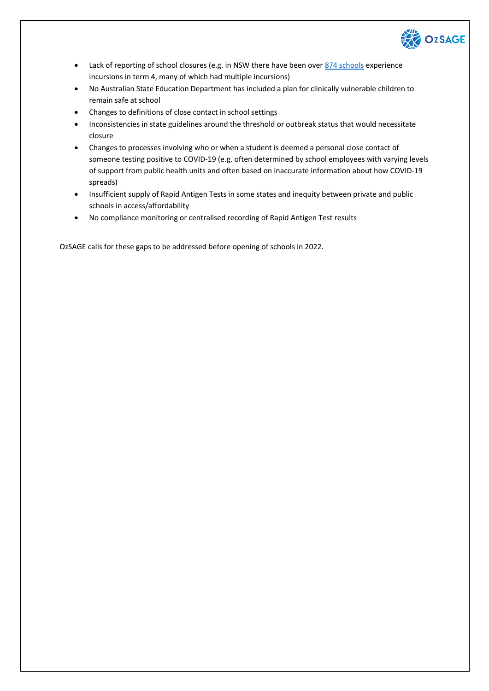

- Lack of reporting of school closures (e.g. in NSW there have been over 874 schools experience incursions in term 4, many of which had multiple incursions)
- No Australian State Education Department has included a plan for clinically vulnerable children to remain safe at school
- Changes to definitions of close contact in school settings
- Inconsistencies in state guidelines around the threshold or outbreak status that would necessitate closure
- Changes to processes involving who or when a student is deemed a personal close contact of someone testing positive to COVID-19 (e.g. often determined by school employees with varying levels of support from public health units and often based on inaccurate information about how COVID-19 spreads)
- Insufficient supply of Rapid Antigen Tests in some states and inequity between private and public schools in access/affordability
- No compliance monitoring or centralised recording of Rapid Antigen Test results

OzSAGE calls for these gaps to be addressed before opening of schools in 2022.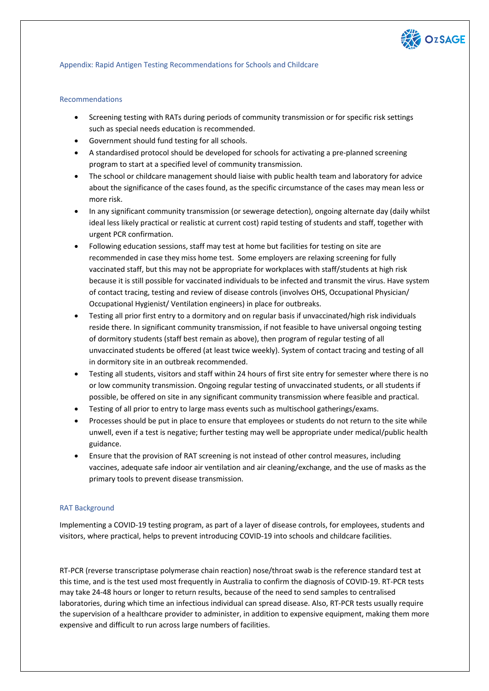

## Appendix: Rapid Antigen Testing Recommendations for Schools and Childcare

## Recommendations

- Screening testing with RATs during periods of community transmission or for specific risk settings such as special needs education is recommended.
- Government should fund testing for all schools.
- A standardised protocol should be developed for schools for activating a pre-planned screening program to start at a specified level of community transmission.
- The school or childcare management should liaise with public health team and laboratory for advice about the significance of the cases found, as the specific circumstance of the cases may mean less or more risk.
- In any significant community transmission (or sewerage detection), ongoing alternate day (daily whilst ideal less likely practical or realistic at current cost) rapid testing of students and staff, together with urgent PCR confirmation.
- Following education sessions, staff may test at home but facilities for testing on site are recommended in case they miss home test. Some employers are relaxing screening for fully vaccinated staff, but this may not be appropriate for workplaces with staff/students at high risk because it is still possible for vaccinated individuals to be infected and transmit the virus. Have system of contact tracing, testing and review of disease controls (involves OHS, Occupational Physician/ Occupational Hygienist/ Ventilation engineers) in place for outbreaks.
- Testing all prior first entry to a dormitory and on regular basis if unvaccinated/high risk individuals reside there. In significant community transmission, if not feasible to have universal ongoing testing of dormitory students (staff best remain as above), then program of regular testing of all unvaccinated students be offered (at least twice weekly). System of contact tracing and testing of all in dormitory site in an outbreak recommended.
- Testing all students, visitors and staff within 24 hours of first site entry for semester where there is no or low community transmission. Ongoing regular testing of unvaccinated students, or all students if possible, be offered on site in any significant community transmission where feasible and practical.
- Testing of all prior to entry to large mass events such as multischool gatherings/exams.
- Processes should be put in place to ensure that employees or students do not return to the site while unwell, even if a test is negative; further testing may well be appropriate under medical/public health guidance.
- Ensure that the provision of RAT screening is not instead of other control measures, including vaccines, adequate safe indoor air ventilation and air cleaning/exchange, and the use of masks as the primary tools to prevent disease transmission.

### RAT Background

Implementing a COVID-19 testing program, as part of a layer of disease controls, for employees, students and visitors, where practical, helps to prevent introducing COVID-19 into schools and childcare facilities.

RT-PCR (reverse transcriptase polymerase chain reaction) nose/throat swab is the reference standard test at this time, and is the test used most frequently in Australia to confirm the diagnosis of COVID-19. RT-PCR tests may take 24-48 hours or longer to return results, because of the need to send samples to centralised laboratories, during which time an infectious individual can spread disease. Also, RT-PCR tests usually require the supervision of a healthcare provider to administer, in addition to expensive equipment, making them more expensive and difficult to run across large numbers of facilities.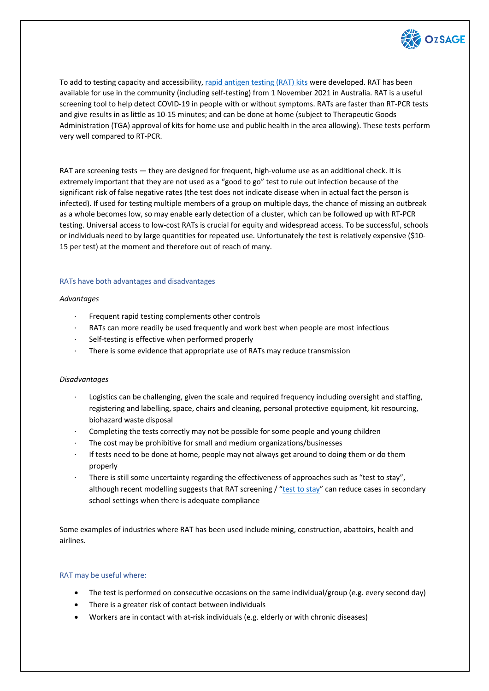

To add to testing capacity and accessibility, rapid antigen testing (RAT) kits were developed. RAT has been available for use in the community (including self-testing) from 1 November 2021 in Australia. RAT is a useful screening tool to help detect COVID-19 in people with or without symptoms. RATs are faster than RT-PCR tests and give results in as little as 10-15 minutes; and can be done at home (subject to Therapeutic Goods Administration (TGA) approval of kits for home use and public health in the area allowing). These tests perform very well compared to RT-PCR.

RAT are screening tests — they are designed for frequent, high-volume use as an additional check. It is extremely important that they are not used as a "good to go" test to rule out infection because of the significant risk of false negative rates (the test does not indicate disease when in actual fact the person is infected). If used for testing multiple members of a group on multiple days, the chance of missing an outbreak as a whole becomes low, so may enable early detection of a cluster, which can be followed up with RT-PCR testing. Universal access to low-cost RATs is crucial for equity and widespread access. To be successful, schools or individuals need to by large quantities for repeated use. Unfortunately the test is relatively expensive (\$10- 15 per test) at the moment and therefore out of reach of many.

## RATs have both advantages and disadvantages

## *Advantages*

- Frequent rapid testing complements other controls
- · RATs can more readily be used frequently and work best when people are most infectious
- Self-testing is effective when performed properly
- There is some evidence that appropriate use of RATs may reduce transmission

# *Disadvantages*

- · Logistics can be challenging, given the scale and required frequency including oversight and staffing, registering and labelling, space, chairs and cleaning, personal protective equipment, kit resourcing, biohazard waste disposal
- Completing the tests correctly may not be possible for some people and young children
- The cost may be prohibitive for small and medium organizations/businesses
- If tests need to be done at home, people may not always get around to doing them or do them properly
- · There is still some uncertainty regarding the effectiveness of approaches such as "test to stay", although recent modelling suggests that RAT screening  $/$  "test to stay" can reduce cases in secondary school settings when there is adequate compliance

Some examples of industries where RAT has been used include mining, construction, abattoirs, health and airlines.

# RAT may be useful where:

- The test is performed on consecutive occasions on the same individual/group (e.g. every second day)
- There is a greater risk of contact between individuals
- Workers are in contact with at-risk individuals (e.g. elderly or with chronic diseases)